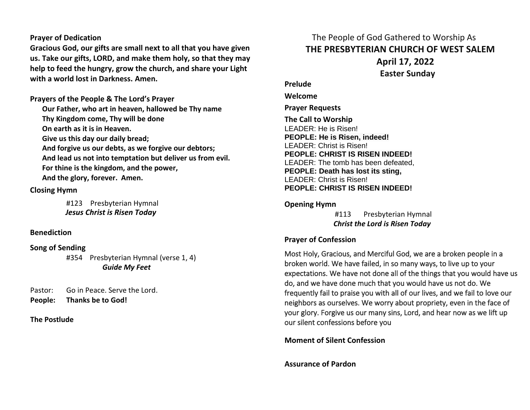# **Prayer of Dedication**

**Gracious God, our gifts are small next to all that you have given us. Take our gifts, LORD, and make them holy, so that they may help to feed the hungry, grow the church, and share your Light with a world lost in Darkness. Amen.**

**Prayers of the People & The Lord's Prayer**

**Our Father, who art in heaven, hallowed be Thy name Thy Kingdom come, Thy will be done On earth as it is in Heaven. Give us this day our daily bread;** 

**And forgive us our debts, as we forgive our debtors; And lead us not into temptation but deliver us from evil. For thine is the kingdom, and the power, And the glory, forever. Amen.** 

# **Closing Hymn**

#123 Presbyterian Hymnal  *Jesus Christ is Risen Today*

# **Benediction**

# **Song of Sending**

#354 Presbyterian Hymnal (verse 1, 4) *Guide My Feet*

Pastor: Go in Peace. Serve the Lord. **People: Thanks be to God!** 

#### **The Postlude**

 The People of God Gathered to Worship As **THE PRESBYTERIAN CHURCH OF WEST SALEM April 17, 2022 Easter Sunday**

**Prelude**

**Welcome**

**Prayer Requests**

**The Call to Worship** LEADER: He is Risen! **PEOPLE: He is Risen, indeed!** LEADER: Christ is Risen! **PEOPLE: CHRIST IS RISEN INDEED!** LEADER: The tomb has been defeated, **PEOPLE: Death has lost its sting,** LEADER: Christ is Risen! **PEOPLE: CHRIST IS RISEN INDEED!**

### **Opening Hymn**

#113 Presbyterian Hymnal  *Christ the Lord is Risen Today*

# **Prayer of Confession**

Most Holy, Gracious, and Merciful God, we are a broken people in a broken world. We have failed, in so many ways, to live up to your expectations. We have not done all of the things that you would have us do, and we have done much that you would have us not do. We frequently fail to praise you with all of our lives, and we fail to love our neighbors as ourselves. We worry about propriety, even in the face of your glory. Forgive us our many sins, Lord, and hear now as we lift up our silent confessions before you

**Moment of Silent Confession**

**Assurance of Pardon**